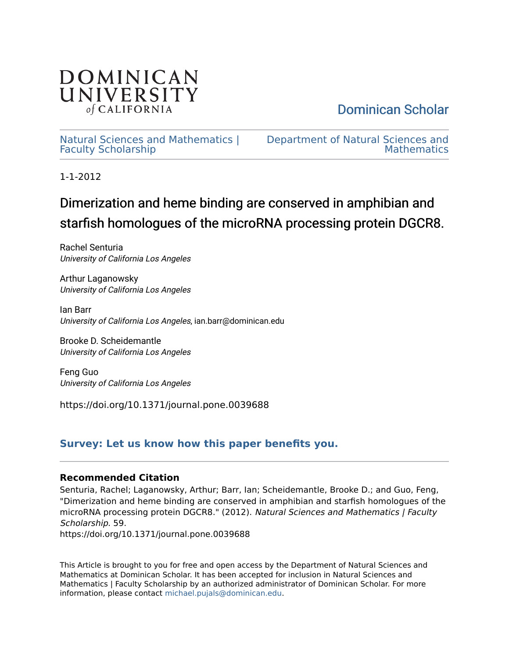

[Dominican Scholar](https://scholar.dominican.edu/) 

[Natural Sciences and Mathematics |](https://scholar.dominican.edu/natural-sciences-and-mathematics-faculty-scholarship) [Faculty Scholarship](https://scholar.dominican.edu/natural-sciences-and-mathematics-faculty-scholarship) 

[Department of Natural Sciences and](https://scholar.dominican.edu/natural-sciences-and-mathematics)  **Mathematics** 

1-1-2012

# Dimerization and heme binding are conserved in amphibian and starfish homologues of the microRNA processing protein DGCR8.

Rachel Senturia University of California Los Angeles

Arthur Laganowsky University of California Los Angeles

Ian Barr University of California Los Angeles, ian.barr@dominican.edu

Brooke D. Scheidemantle University of California Los Angeles

Feng Guo University of California Los Angeles

https://doi.org/10.1371/journal.pone.0039688

# **[Survey: Let us know how this paper benefits you.](https://dominican.libwizard.com/dominican-scholar-feedback)**

# **Recommended Citation**

Senturia, Rachel; Laganowsky, Arthur; Barr, Ian; Scheidemantle, Brooke D.; and Guo, Feng, "Dimerization and heme binding are conserved in amphibian and starfish homologues of the microRNA processing protein DGCR8." (2012). Natural Sciences and Mathematics | Faculty Scholarship. 59. https://doi.org/10.1371/journal.pone.0039688

This Article is brought to you for free and open access by the Department of Natural Sciences and Mathematics at Dominican Scholar. It has been accepted for inclusion in Natural Sciences and Mathematics | Faculty Scholarship by an authorized administrator of Dominican Scholar. For more information, please contact [michael.pujals@dominican.edu](mailto:michael.pujals@dominican.edu).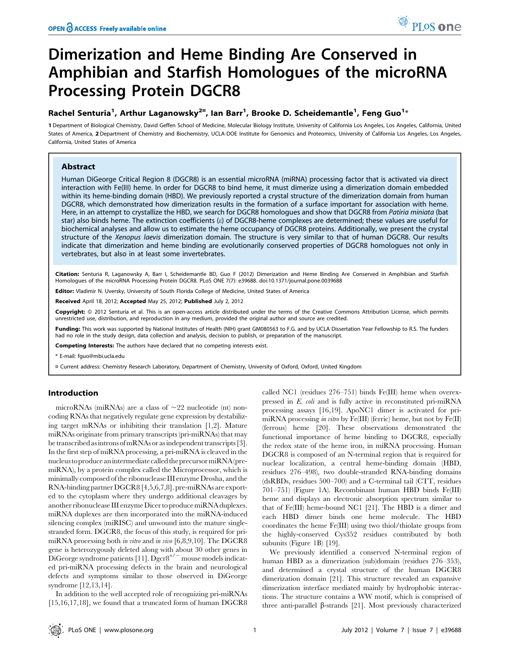# Dimerization and Heme Binding Are Conserved in Amphibian and Starfish Homologues of the microRNA Processing Protein DGCR8

# Rachel Senturia<sup>1</sup>, Arthur Laganowsky<sup>2¤</sup>, Ian Barr<sup>1</sup>, Brooke D. Scheidemantle<sup>1</sup>, Feng Guo<sup>1</sup>\*

1 Department of Biological Chemistry, David Geffen School of Medicine, Molecular Biology Institute, University of California Los Angeles, Los Angeles, California, United States of America, 2 Department of Chemistry and Biochemistry, UCLA-DOE Institute for Genomics and Proteomics, University of California Los Angeles, Los Angeles, California, United States of America

# Abstract

Human DiGeorge Critical Region 8 (DGCR8) is an essential microRNA (miRNA) processing factor that is activated via direct interaction with Fe(III) heme. In order for DGCR8 to bind heme, it must dimerize using a dimerization domain embedded within its heme-binding domain (HBD). We previously reported a crystal structure of the dimerization domain from human DGCR8, which demonstrated how dimerization results in the formation of a surface important for association with heme. Here, in an attempt to crystallize the HBD, we search for DGCR8 homologues and show that DGCR8 from Patiria miniata (bat star) also binds heme. The extinction coefficients (e) of DGCR8-heme complexes are determined; these values are useful for biochemical analyses and allow us to estimate the heme occupancy of DGCR8 proteins. Additionally, we present the crystal structure of the Xenopus laevis dimerization domain. The structure is very similar to that of human DGCR8. Our results indicate that dimerization and heme binding are evolutionarily conserved properties of DGCR8 homologues not only in vertebrates, but also in at least some invertebrates.

Citation: Senturia R, Laganowsky A, Barr I, Scheidemantle BD, Guo F (2012) Dimerization and Heme Binding Are Conserved in Amphibian and Starfish Homologues of the microRNA Processing Protein DGCR8. PLoS ONE 7(7): e39688. doi:10.1371/journal.pone.0039688

Editor: Vladimir N. Uversky, University of South Florida College of Medicine, United States of America

Received April 18, 2012; Accepted May 25, 2012; Published July 2, 2012

Copyright: © 2012 Senturia et al. This is an open-access article distributed under the terms of the Creative Commons Attribution License, which permits unrestricted use, distribution, and reproduction in any medium, provided the original author and source are credited.

Funding: This work was supported by National Institutes of Health (NIH) grant GM080563 to F.G. and by UCLA Dissertation Year Fellowship to R.S. The funders had no role in the study design, data collection and analysis, decision to publish, or preparation of the manuscript.

Competing Interests: The authors have declared that no competing interests exist.

\* E-mail: fguo@mbi.ucla.edu

¤ Current address: Chemistry Research Laboratory, Department of Chemistry, University of Oxford, Oxford, United Kingdom

## Introduction

microRNAs (miRNAs) are a class of  $\sim$ 22 nucleotide (nt) noncoding RNAs that negatively regulate gene expression by destabilizing target mRNAs or inhibiting their translation [1,2]. Mature miRNAs originate from primary transcripts (pri-miRNAs) that may be transcribedas introns ofmRNAsor asindependent transcripts [3]. In the first step of miRNA processing, a pri-miRNA is cleaved in the nucleustoproduceanintermediatecalledtheprecursormiRNA(premiRNA), by a protein complex called the Microprocessor, which is minimally composed of the ribonuclease III enzyme Drosha, and the RNA-binding partner DGCR8 [4,5,6,7,8]. pre-miRNAs are exported to the cytoplasm where they undergo additional cleavages by another ribonuclease III enzyme Dicer to produce miRNA duplexes. miRNA duplexes are then incorporated into the miRNA-induced silencing complex (miRISC) and unwound into the mature singlestranded form. DGCR8, the focus of this study, is required for primiRNA processing both in vitro and in vivo [6,8,9,10]. The DGCR8 gene is heterozygously deleted along with about 30 other genes in DiGeorge syndrome patients [11].  $Dgcr8^{+/-}$  mouse models indicated pri-miRNA processing defects in the brain and neurological defects and symptoms similar to those observed in DiGeorge syndrome [12,13,14].

In addition to the well accepted role of recognizing pri-miRNAs [15,16,17,18], we found that a truncated form of human DGCR8 called NC1 (residues 276–751) binds Fe(III) heme when overexpressed in E. coli and is fully active in reconstituted pri-miRNA processing assays [16,19]. ApoNC1 dimer is activated for primiRNA processing in vitro by  $Fe(III)$  (ferric) heme, but not by  $Fe(II)$ (ferrous) heme [20]. These observations demonstrated the functional importance of heme binding to DGCR8, especially the redox state of the heme iron, in miRNA processing. Human DGCR8 is composed of an N-terminal region that is required for nuclear localization, a central heme-binding domain (HBD, residues 276–498), two double-stranded RNA-binding domains (dsRBDs, residues 500–700) and a C-terminal tail (CTT, residues 701–751) (Figure 1A). Recombinant human HBD binds Fe(III) heme and displays an electronic absorption spectrum similar to that of Fe(III) heme-bound NC1 [21]. The HBD is a dimer and each HBD dimer binds one heme molecule. The HBD coordinates the heme Fe(III) using two thiol/thiolate groups from the highly-conserved Cys352 residues contributed by both subunits (Figure 1B) [19].

We previously identified a conserved N-terminal region of human HBD as a dimerization (sub)domain (residues 276–353), and determined a crystal structure of the human DGCR8 dimerization domain [21]. This structure revealed an expansive dimerization interface mediated mainly by hydrophobic interactions. The structure contains a WW motif, which is comprised of three anti-parallel  $\beta$ -strands [21]. Most previously characterized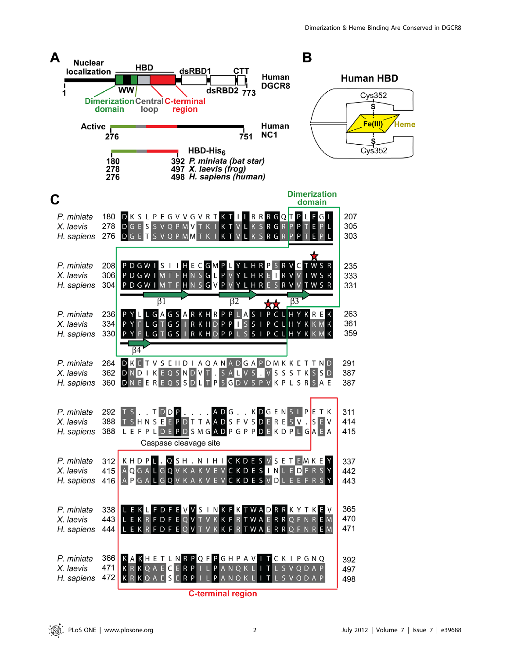

**C-terminal region**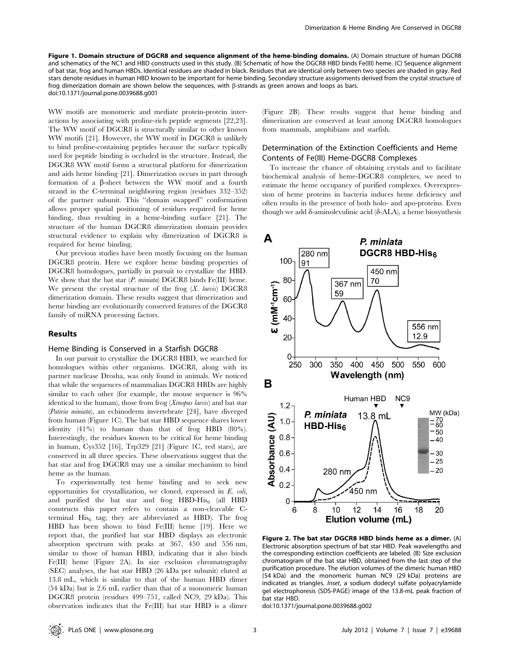Figure 1. Domain structure of DGCR8 and sequence alignment of the heme-binding domains. (A) Domain structure of human DGCR8 and schematics of the NC1 and HBD constructs used in this study. (B) Schematic of how the DGCR8 HBD binds Fe(III) heme. (C) Sequence alignment of bat star, frog and human HBDs. Identical residues are shaded in black. Residues that are identical only between two species are shaded in gray. Red stars denote residues in human HBD known to be important for heme binding. Secondary structure assignments derived from the crystal structure of frog dimerization domain are shown below the sequences, with  $\beta$ -strands as green arrows and loops as bars. doi:10.1371/journal.pone.0039688.g001

WW motifs are monomeric and mediate protein-protein interactions by associating with proline-rich peptide segments [22,23]. The WW motif of DGCR8 is structurally similar to other known WW motifs [21]. However, the WW motif in DGCR8 is unlikely to bind proline-containing peptides because the surface typically used for peptide binding is occluded in the structure. Instead, the DGCR8 WW motif forms a structural platform for dimerization and aids heme binding [21]. Dimerization occurs in part through formation of a  $\beta$ -sheet between the WW motif and a fourth strand in the C-terminal neighboring region (residues 332–352) of the partner subunit. This ''domain swapped'' conformation allows proper spatial positioning of residues required for heme binding, thus resulting in a heme-binding surface [21]. The structure of the human DGCR8 dimerization domain provides structural evidence to explain why dimerization of DGCR8 is required for heme binding.

Our previous studies have been mostly focusing on the human DGCR8 protein. Here we explore heme binding properties of DGCR8 homologues, partially in pursuit to crystallize the HBD. We show that the bat star  $(P. miniata)$  DGCR8 binds Fe(III) heme. We present the crystal structure of the frog  $(X. \text{ leaves})$  DGCR8 dimerization domain. These results suggest that dimerization and heme binding are evolutionarily conserved features of the DGCR8 family of miRNA processing factors.

#### Results

#### Heme Binding is Conserved in a Starfish DGCR8

In our pursuit to crystallize the DGCR8 HBD, we searched for homologues within other organisms. DGCR8, along with its partner nuclease Drosha, was only found in animals. We noticed that while the sequences of mammalian DGCR8 HBDs are highly similar to each other (for example, the mouse sequence is 96% identical to the human), those from frog (Xenopus laevis) and bat star (Patiria miniata), an echinoderm invertebrate [24], have diverged from human (Figure 1C). The bat star HBD sequence shares lower identity (41%) to human than that of frog HBD (80%). Interestingly, the residues known to be critical for heme binding in human, Cys352 [16], Trp329 [21] (Figure 1C, red stars), are conserved in all three species. These observations suggest that the bat star and frog DGCR8 may use a similar mechanism to bind heme as the human.

To experimentally test heme binding and to seek new opportunities for crystallization, we cloned, expressed in E. coli, and purified the bat star and frog HBD-His $_6$  (all HBD constructs this paper refers to contain a non-cleavable Cterminal  $His<sub>6</sub>$  tag; they are abbreviated as HBD). The frog HBD has been shown to bind Fe(III) heme [19]. Here we report that, the purified bat star HBD displays an electronic absorption spectrum with peaks at 367, 450 and 556 nm, similar to those of human HBD, indicating that it also binds Fe(III) heme (Figure 2A). In size exclusion chromatography (SEC) analyses, the bat star HBD (26 kDa per subunit) eluted at 13.8 mL, which is similar to that of the human HBD dimer (54 kDa) but is 2.6 mL earlier than that of a monomeric human DGCR8 protein (residues 499–751, called NC9, 29 kDa). This observation indicates that the Fe(III) bat star HBD is a dimer

(Figure 2B). These results suggest that heme binding and dimerization are conserved at least among DGCR8 homologues from mammals, amphibians and starfish.

# Determination of the Extinction Coefficients and Heme Contents of Fe(III) Heme-DGCR8 Complexes

To increase the chance of obtaining crystals and to facilitate biochemical analysis of heme-DGCR8 complexes, we need to estimate the heme occupancy of purified complexes. Overexpression of heme proteins in bacteria induces heme deficiency and often results in the presence of both holo- and apo-proteins. Even though we add  $\delta$ -aminolevulinic acid ( $\delta$ -ALA), a heme biosynthesis



Figure 2. The bat star DGCR8 HBD binds heme as a dimer. (A) Electronic absorption spectrum of bat star HBD. Peak wavelengths and the corresponding extinction coefficients are labeled. (B) Size exclusion chromatogram of the bat star HBD, obtained from the last step of the purification procedure. The elution volumes of the dimeric human HBD (54 kDa) and the monomeric human NC9 (29 kDa) proteins are indicated as triangles. Inset, a sodium dodecyl sulfate polyacrylamide gel electrophoresis (SDS-PAGE) image of the 13.8-mL peak fraction of bat star HBD.

doi:10.1371/journal.pone.0039688.g002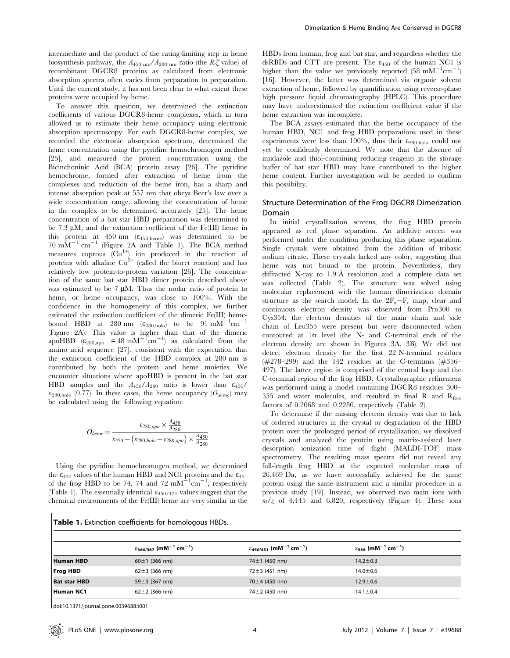intermediate and the product of the rating-limiting step in heme biosynthesis pathway, the  $A_{450 \text{ nm}}/A_{280 \text{ nm}}$  ratio (the  $R\zeta$  value) of recombinant DGCR8 proteins as calculated from electronic absorption spectra often varies from preparation to preparation. Until the current study, it has not been clear to what extent these proteins were occupied by heme.

To answer this question, we determined the extinction coefficients of various DGCR8-heme complexes, which in turn allowed us to estimate their heme occupancy using electronic absorption spectroscopy. For each DGCR8-heme complex, we recorded the electronic absorption spectrum, determined the heme concentration using the pyridine hemochromogen method [25], and measured the protein concentration using the Bicinchoninic Acid (BCA) protein assay [26]. The pyridine hemochrome, formed after extraction of heme from the complexes and reduction of the heme iron, has a sharp and intense absorption peak at 557 nm that obeys Beer's law over a wide concentration range, allowing the concentration of heme in the complex to be determined accurately [25]. The heme concentration of a bat star HBD preparation was determined to be 7.3  $\mu$ M, and the extinction coefficient of the Fe(III) heme in this protein at  $450 \text{ nm}$  ( $\varepsilon_{450\text{ heme}}$ ) was determined to be  $70 \text{ mM}^{-1} \text{ cm}^{-1}$  (Figure 2A and Table 1). The BCA method measures cuprous  $(Cu^{1+})$  ion produced in the reaction of proteins with alkaline  $Cu^{2+}$  (called the biuret reaction) and has relatively low protein-to-protein variation [26]. The concentration of the same bat star HBD dimer protein described above was estimated to be  $7 \mu M$ . Thus the molar ratio of protein to heme, or heme occupancy, was close to 100%. With the confidence in the homogeneity of this complex, we further estimated the extinction coefficient of the dimeric Fe(III) hemebound HBD at 280 nm  $(\epsilon_{280, \text{holo}})$  to be 91 mM<sup>-1</sup>cm<sup>-1</sup> (Figure 2A). This value is higher than that of the dimeric apoHBD  $(\epsilon_{280,\text{apo}} = 48 \text{ mM}^{-1} \text{cm}^{-1})$  as calculated from the amino acid sequence [27], consistent with the expectation that the extinction coefficient of the HBD complex at 280 nm is contributed by both the protein and heme moieties. We encounter situations where apoHBD is present in the bat star HBD samples and the  $A_{450}/A_{280}$  ratio is lower than  $\varepsilon_{450}/\sqrt{\frac{200}{n}}$  $\varepsilon_{280,\text{holo}}$  (0.77). In these cases, the heme occupancy ( $O_{\text{heme}}$ ) may be calculated using the following equation:

$$
O_{heme} = \frac{\varepsilon_{280,apo} \times \frac{A_{450}}{A_{280}}}{\varepsilon_{450} - \left(\varepsilon_{280,holo} - \varepsilon_{280,apo}\right) \times \frac{A_{450}}{A_{280}}}
$$

Using the pyridine hemochromogen method, we determined the  $\varepsilon_{450}$  values of the human HBD and NC1 proteins and the  $\varepsilon_{451}$ of the frog HBD to be 74, 74 and 72  $\text{mM}^{-1}\text{cm}^{-1}$ , respectively (Table 1). The essentially identical  $\varepsilon_{450/451}$  values suggest that the chemical environments of the Fe(III) heme are very similar in the

HBDs from human, frog and bat star, and regardless whether the dsRBDs and CTT are present. The  $\varepsilon_{450}$  of the human NC1 is higher than the value we previously reported  $(58 \text{ mM}^{-1} \text{cm}^{-1})$ [16]. However, the latter was determined via organic solvent extraction of heme, followed by quantification using reverse-phase high pressure liquid chromatography (HPLC). This procedure may have underestimated the extinction coefficient value if the heme extraction was incomplete.

The BCA assays estimated that the heme occupancy of the human HBD, NC1 and frog HBD preparations used in these experiments were less than 100%, thus their  $\varepsilon_{280, \text{holo}}$  could not yet be confidently determined. We note that the absence of imidazole and thiol-containing reducing reagents in the storage buffer of bat star HBD may have contributed to the higher heme content. Further investigation will be needed to confirm this possibility.

# Structure Determination of the Frog DGCR8 Dimerization Domain

In initial crystallization screens, the frog HBD protein appeared as red phase separation. An additive screen was performed under the condition producing this phase separation. Single crystals were obtained from the addition of tribasic sodium citrate. These crystals lacked any color, suggesting that heme was not bound to the protein. Nevertheless, they diffracted X-ray to 1.9 Å resolution and a complete data set was collected (Table 2). The structure was solved using molecular replacement with the human dimerization domain structure as the search model. In the  $2F_0-F_c$  map, clear and continuous electron density was observed from Pro300 to Cys354; the electron densities of the main chain and side chain of Leu355 were present but were disconnected when contoured at  $1\sigma$  level (the N- and C-terminal ends of the electron density are shown in Figures 3A, 3B). We did not detect electron density for the first 22 N-terminal residues ( $\#278-299$ ) and the 142 residues at the C-terminus ( $\#356-$ 497). The latter region is comprised of the central loop and the C-terminal region of the frog HBD. Crystallographic refinement was performed using a model containing DGCR8 residues 300– 355 and water molecules, and resulted in final R and  $R_{free}$ factors of 0.2068 and 0.2280, respectively (Table 2).

To determine if the missing electron density was due to lack of ordered structures in the crystal or degradation of the HBD protein over the prolonged period of crystallization, we dissolved crystals and analyzed the protein using matrix-assisted laser desorption ionization time of flight (MALDI-TOF) mass spectrometry. The resulting mass spectra did not reveal any full-length frog HBD at the expected molecular mass of 26,469 Da, as we have successfully achieved for the same protein using the same instrument and a similar procedure in a previous study [19]. Instead, we observed two main ions with  $m/z$  of 4,445 and 6,820, respectively (Figure 4). These ions

| Table 1. Extinction coefficients for homologous HBDs. |
|-------------------------------------------------------|
|                                                       |

|                     | $\varepsilon_{\bf366/367}$ (mM $^{-1}$ cm $^{-1})$ | $\varepsilon_{\bf 450/451}$ (mM $^{-1}$ cm $^{-1})$ | $\varepsilon_{\bf 556}$ (mM $^{-1}$ cm $^{-1})$ |  |
|---------------------|----------------------------------------------------|-----------------------------------------------------|-------------------------------------------------|--|
| <b>Human HBD</b>    | $60 \pm 1$ (366 nm)                                | 74 $\pm$ 1 (450 nm)                                 | $14.2 \pm 0.3$                                  |  |
| <b>Frog HBD</b>     | $62 \pm 3$ (366 nm)                                | $72 \pm 3$ (451 nm)                                 | $14.0 \pm 0.6$                                  |  |
| <b>Bat star HBD</b> | 59 $\pm$ 3 (367 nm)                                | 70 $\pm$ 4 (450 nm)                                 | $12.9 \pm 0.6$                                  |  |
| Human NC1           | $62 \pm 2$ (366 nm)                                | 74 $\pm$ 2 (450 nm)                                 | $14.1 \pm 0.4$                                  |  |
|                     |                                                    |                                                     |                                                 |  |

doi:10.1371/journal.pone.0039688.t001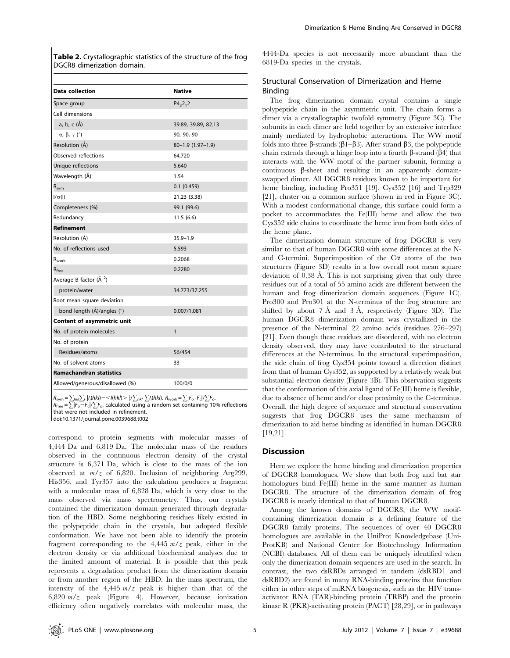Table 2. Crystallographic statistics of the structure of the frog DGCR8 dimerization domain.

| <b>Data collection</b>                      | <b>Native</b>       |
|---------------------------------------------|---------------------|
| Space group                                 | $P4_32_12$          |
| Cell dimensions                             |                     |
| a, b, c (Å)                                 | 39.89, 39.89, 82.13 |
| $\alpha$ , $\beta$ , $\gamma$ ( $\degree$ ) | 90, 90, 90          |
| Resolution (A)                              | 80-1.9 (1.97-1.9)   |
| Observed reflections                        | 64,720              |
| Unique reflections                          | 5,640               |
| Wavelength (Å)                              | 1.54                |
| $R_{sym}$                                   | $0.1$ $(0.459)$     |
| $I/\sigma(I)$                               | 21.23 (3.38)        |
| Completeness (%)                            | 99.1 (99.6)         |
| Redundancy                                  | 11.5(6.6)           |
| <b>Refinement</b>                           |                     |
| Resolution (Å)                              | $35.9 - 1.9$        |
| No. of reflections used                     | 5,593               |
| $\mathsf{R}_{\mathsf{work}}$                | 0.2068              |
| $R_{\text{free}}$                           | 0.2280              |
| Average B factor (Å <sup>2</sup> )          |                     |
| protein/water                               | 34.773/37.255       |
| Root mean square deviation                  |                     |
| bond length (Å)/angles (°)                  | 0.007/1.081         |
| Content of asymmetric unit                  |                     |
| No. of protein molecules                    | $\mathbf{1}$        |
| No. of protein                              |                     |
| Residues/atoms                              | 56/454              |
| No. of solvent atoms                        | 33                  |
| <b>Ramachandran statistics</b>              |                     |
| Allowed/generous/disallowed (%)             | 100/0/0             |

 $R_{\mathsf{sym}}\!=\!\sum_{h\mathsf{k}l}\sum_{i}\mid\!\mathit{l}_{i}\!\mathit{(hkl)}\!=\!<\!\mathit{l}(h\mathit{kl})\!>\mid\!\mathit{l}\sum_{h\mathsf{k}l}\sum\!\mathit{l}_{i}\!\mathit{(hkl)}.~R_{\mathsf{work}}\!=\!\sum_{l}\!|F_{o}\!-\!F_{c}|/\!\sum_{l}\!\mathit{F}_{o}\!.$  $R_{\text{free}} = \sum_{i} |F_{o} - F_{c}| / \sum_{i} F_{o}$ , calculated using a random set containing 10% reflections

that were not included in refinement.

doi:10.1371/journal.pone.0039688.t002

correspond to protein segments with molecular masses of 4,444 Da and 6,819 Da. The molecular mass of the residues observed in the continuous electron density of the crystal structure is 6,371 Da, which is close to the mass of the ion observed at  $m/z$  of 6,820. Inclusion of neighboring Arg299, His356, and Tyr357 into the calculation produces a fragment with a molecular mass of 6,828 Da, which is very close to the mass observed via mass spectrometry. Thus, our crystals contained the dimerization domain generated through degradation of the HBD. Some neighboring residues likely existed in the polypeptide chain in the crystals, but adopted flexible conformation. We have not been able to identify the protein fragment corresponding to the  $4,445$   $m/z$  peak, either in the electron density or via additional biochemical analyses due to the limited amount of material. It is possible that this peak represents a degradation product from the dimerization domain or from another region of the HBD. In the mass spectrum, the intensity of the  $4,445$   $m/z$  peak is higher than that of the 6,820  $m/z$  peak (Figure 4). However, because ionization efficiency often negatively correlates with molecular mass, the

4444-Da species is not necessarily more abundant than the 6819-Da species in the crystals.

# Structural Conservation of Dimerization and Heme Binding

The frog dimerization domain crystal contains a single polypeptide chain in the asymmetric unit. The chain forms a dimer via a crystallographic twofold symmetry (Figure 3C). The subunits in each dimer are held together by an extensive interface mainly mediated by hydrophobic interactions. The WW motif folds into three  $\beta$ -strands ( $\beta$ 1– $\beta$ 3). After strand  $\beta$ 3, the polypeptide chain extends through a hinge loop into a fourth  $\beta$ -strand ( $\beta$ 4) that interacts with the WW motif of the partner subunit, forming a continuous  $\beta$ -sheet and resulting in an apparently domainswapped dimer. All DGCR8 residues known to be important for heme binding, including Pro351 [19], Cys352 [16] and Trp329 [21], cluster on a common surface (shown in red in Figure 3C). With a modest conformational change, this surface could form a pocket to accommodates the Fe(III) heme and allow the two Cys352 side chains to coordinate the heme iron from both sides of the heme plane.

The dimerization domain structure of frog DGCR8 is very similar to that of human DGCR8 with some differences at the Nand C-termini. Superimposition of the C $\alpha$  atoms of the two structures (Figure 3D) results in a low overall root mean square deviation of 0.38 Å. This is not surprising given that only three residues out of a total of 55 amino acids are different between the human and frog dimerization domain sequences (Figure 1C). Pro300 and Pro301 at the N-terminus of the frog structure are shifted by about  $7 \text{ Å}$  and  $3 \text{ Å}$ , respectively (Figure 3D). The human DGCR8 dimerization domain was crystallized in the presence of the N-terminal 22 amino acids (residues 276–297) [21]. Even though these residues are disordered, with no electron density observed, they may have contributed to the structural differences at the N-terminus. In the structural superimposition, the side chain of frog Cys354 points toward a direction distinct from that of human Cys352, as supported by a relatively weak but substantial electron density (Figure 3B). This observation suggests that the conformation of this axial ligand of Fe(III) heme is flexible, due to absence of heme and/or close proximity to the C-terminus. Overall, the high degree of sequence and structural conservation suggests that frog DGCR8 uses the same mechanism of dimerization to aid heme binding as identified in human DGCR8 [19,21].

#### **Discussion**

Here we explore the heme binding and dimerization properties of DGCR8 homologues. We show that both frog and bat star homologues bind Fe(III) heme in the same manner as human DGCR8. The structure of the dimerization domain of frog DGCR8 is nearly identical to that of human DGCR8.

Among the known domains of DGCR8, the WW motifcontaining dimerization domain is a defining feature of the DGCR8 family proteins. The sequences of over 40 DGCR8 homologues are available in the UniProt Knowledgebase (Uni-ProtKB) and National Center for Biotechnology Information (NCBI) databases. All of them can be uniquely identified when only the dimerization domain sequences are used in the search. In contrast, the two dsRBDs arranged in tandem (dsRBD1 and dsRBD2) are found in many RNA-binding proteins that function either in other steps of miRNA biogenesis, such as the HIV transactivator RNA (TAR)-binding protein (TRBP) and the protein kinase R (PKR)-activating protein (PACT) [28,29], or in pathways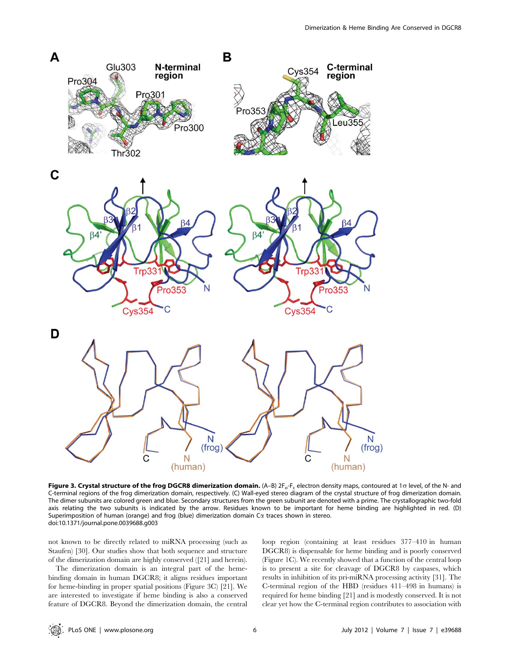

Figure 3. Crystal structure of the frog DGCR8 dimerization domain. (A-B)  $2F_o-F_c$  electron density maps, contoured at 1 $\sigma$  level, of the N- and C-terminal regions of the frog dimerization domain, respectively. (C) Wall-eyed stereo diagram of the crystal structure of frog dimerization domain. The dimer subunits are colored green and blue. Secondary structures from the green subunit are denoted with a prime. The crystallographic two-fold axis relating the two subunits is indicated by the arrow. Residues known to be important for heme binding are highlighted in red. (D) Superimposition of human (orange) and frog (blue) dimerization domain  $Ca$  traces shown in stereo. doi:10.1371/journal.pone.0039688.g003

not known to be directly related to miRNA processing (such as Staufen) [30]. Our studies show that both sequence and structure of the dimerization domain are highly conserved ([21] and herein).

The dimerization domain is an integral part of the hemebinding domain in human DGCR8; it aligns residues important for heme-binding in proper spatial positions (Figure 3C) [21]. We are interested to investigate if heme binding is also a conserved feature of DGCR8. Beyond the dimerization domain, the central loop region (containing at least residues 377–410 in human DGCR8) is dispensable for heme binding and is poorly conserved (Figure 1C). We recently showed that a function of the central loop is to present a site for cleavage of DGCR8 by caspases, which results in inhibition of its pri-miRNA processing activity [31]. The C-terminal region of the HBD (residues 411–498 in humans) is required for heme binding [21] and is modestly conserved. It is not clear yet how the C-terminal region contributes to association with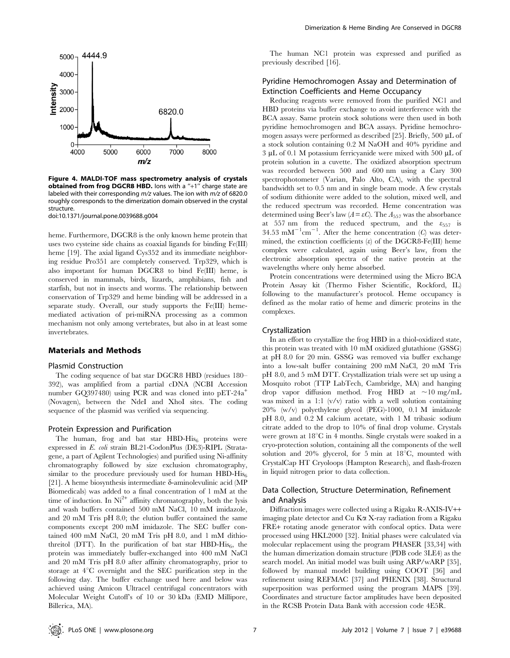

Figure 4. MALDI-TOF mass spectrometry analysis of crystals obtained from frog DGCR8 HBD. Ions with a "+1" charge state are labeled with their corresponding  $m/z$  values. The ion with  $m/z$  of 6820.0 roughly corresponds to the dimerization domain observed in the crystal structure.

doi:10.1371/journal.pone.0039688.g004

heme. Furthermore, DGCR8 is the only known heme protein that uses two cysteine side chains as coaxial ligands for binding Fe(III) heme [19]. The axial ligand Cys352 and its immediate neighboring residue Pro351 are completely conserved. Trp329, which is also important for human DGCR8 to bind Fe(III) heme, is conserved in mammals, birds, lizards, amphibians, fish and starfish, but not in insects and worms. The relationship between conservation of Trp329 and heme binding will be addressed in a separate study. Overall, our study supports the Fe(III) hememediated activation of pri-miRNA processing as a common mechanism not only among vertebrates, but also in at least some invertebrates.

#### Materials and Methods

#### Plasmid Construction

The coding sequence of bat star DGCR8 HBD (residues 180– 392), was amplified from a partial cDNA (NCBI Accession number GQ397480) using PCR and was cloned into pET-24a<sup>+</sup> (Novagen), between the NdeI and XhoI sites. The coding sequence of the plasmid was verified via sequencing.

#### Protein Expression and Purification

The human, frog and bat star  $HBD-His<sub>6</sub>$  proteins were expressed in E. coli strain BL21-CodonPlus (DE3)-RIPL (Stratagene, a part of Agilent Technologies) and purified using Ni-affinity chromatography followed by size exclusion chromatography, similar to the procedure previously used for human HBD-His $_6$ [21]. A heme biosynthesis intermediate  $\delta$ -aminolevulinic acid (MP) Biomedicals) was added to a final concentration of 1 mM at the time of induction. In  $Ni^{2+}$  affinity chromatography, both the lysis and wash buffers contained 500 mM NaCl, 10 mM imidazole, and 20 mM Tris pH 8.0; the elution buffer contained the same components except 200 mM imidazole. The SEC buffer contained 400 mM NaCl, 20 mM Tris pH 8.0, and 1 mM dithiothreitol (DTT). In the purification of bat star  $HBD-His<sub>6</sub>$ , the protein was immediately buffer-exchanged into 400 mM NaCl and 20 mM Tris pH 8.0 after affinity chromatography, prior to storage at  $4^{\circ}$ C overnight and the SEC purification step in the following day. The buffer exchange used here and below was achieved using Amicon Ultracel centrifugal concentrators with Molecular Weight Cutoff's of 10 or 30 kDa (EMD Millipore, Billerica, MA).

The human NC1 protein was expressed and purified as previously described [16].

# Pyridine Hemochromogen Assay and Determination of Extinction Coefficients and Heme Occupancy

Reducing reagents were removed from the purified NC1 and HBD proteins via buffer exchange to avoid interference with the BCA assay. Same protein stock solutions were then used in both pyridine hemochromogen and BCA assays. Pyridine hemochromogen assays were performed as described [25]. Briefly, 500  $\mu$ L of a stock solution containing 0.2 M NaOH and 40% pyridine and  $3 \mu L$  of 0.1 M potassium ferricyanide were mixed with 500  $\mu L$  of protein solution in a cuvette. The oxidized absorption spectrum was recorded between 500 and 600 nm using a Cary 300 spectrophotometer (Varian, Palo Alto, CA), with the spectral bandwidth set to 0.5 nm and in single beam mode. A few crystals of sodium dithionite were added to the solution, mixed well, and the reduced spectrum was recorded. Heme concentration was determined using Beer's law  $(A = \varepsilon C)$ . The  $A_{557}$  was the absorbance at 557 nm from the reduced spectrum, and the  $\varepsilon_{557}$  is 34.53 mM<sup>-1</sup>cm<sup>-1</sup>. After the heme concentration (C) was determined, the extinction coefficients  $(\varepsilon)$  of the DGCR8-Fe(III) heme complex were calculated, again using Beer's law, from the electronic absorption spectra of the native protein at the wavelengths where only heme absorbed.

Protein concentrations were determined using the Micro BCA Protein Assay kit (Thermo Fisher Scientific, Rockford, IL) following to the manufacturer's protocol. Heme occupancy is defined as the molar ratio of heme and dimeric proteins in the complexes.

#### Crystallization

In an effort to crystallize the frog HBD in a thiol-oxidized state, this protein was treated with 10 mM oxidized glutathione (GSSG) at pH 8.0 for 20 min. GSSG was removed via buffer exchange into a low-salt buffer containing 200 mM NaCl, 20 mM Tris pH 8.0, and 5 mM DTT. Crystallization trials were set up using a Mosquito robot (TTP LabTech, Cambridge, MA) and hanging drop vapor diffusion method. Frog HBD at  $\sim 10 \text{ mg/mL}$ was mixed in a 1:1 (v/v) ratio with a well solution containing 20% (w/v) polyethylene glycol (PEG)-1000, 0.1 M imidazole pH 8.0, and 0.2 M calcium acetate, with 1 M tribasic sodium citrate added to the drop to 10% of final drop volume. Crystals were grown at  $18^{\circ}$ C in 4 months. Single crystals were soaked in a cryo-protection solution, containing all the components of the well solution and 20% glycerol, for 5 min at  $18^{\circ}$ C, mounted with CrystalCap HT Cryoloops (Hampton Research), and flash-frozen in liquid nitrogen prior to data collection.

## Data Collection, Structure Determination, Refinement and Analysis

Diffraction images were collected using a Rigaku R-AXIS-IV++ imaging plate detector and  $Cu K\alpha X$ -ray radiation from a Rigaku FRE+ rotating anode generator with confocal optics. Data were processed using HKL2000 [32]. Initial phases were calculated via molecular replacement using the program PHASER [33,34] with the human dimerization domain structure (PDB code 3LE4) as the search model. An initial model was built using ARP/wARP [35], followed by manual model building using COOT [36] and refinement using REFMAC [37] and PHENIX [38]. Structural superposition was performed using the program MAPS [39]. Coordinates and structure factor amplitudes have been deposited in the RCSB Protein Data Bank with accession code 4E5R.